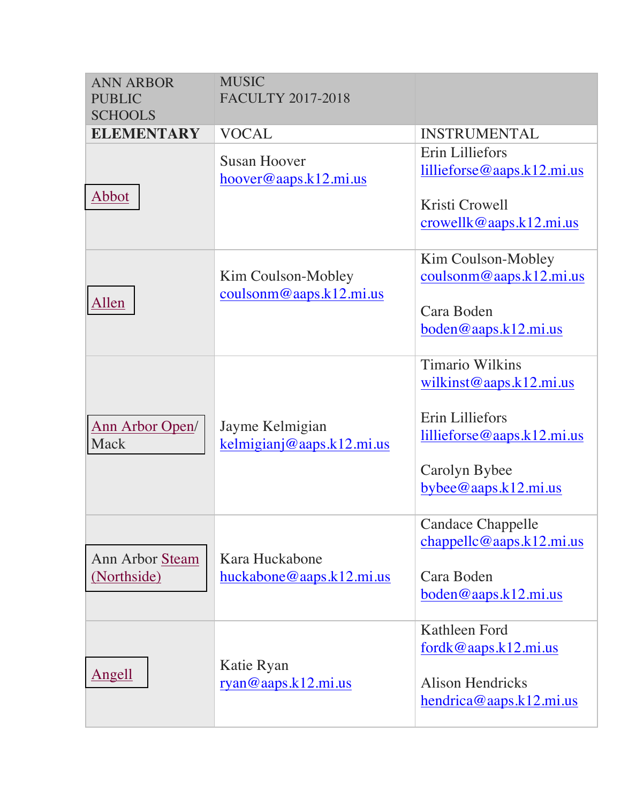| <b>ANN ARBOR</b><br><b>PUBLIC</b><br><b>SCHOOLS</b> | <b>MUSIC</b><br><b>FACULTY 2017-2018</b>                                                    |                                                                                                                                                   |
|-----------------------------------------------------|---------------------------------------------------------------------------------------------|---------------------------------------------------------------------------------------------------------------------------------------------------|
| <b>ELEMENTARY</b>                                   | <b>VOCAL</b>                                                                                | <b>INSTRUMENTAL</b>                                                                                                                               |
| Abbot                                               | <b>Susan Hoover</b><br>hoover@aaps.k12.mi.us                                                | Erin Lilliefors<br>$l$ illieforse@aaps.k12.mi.us<br>Kristi Crowell<br>crowellk@aaps.k12.mi.us                                                     |
| Allen                                               | Kim Coulson-Mobley<br>$\frac{\text{coulsom@aaps.k12.mi.us}}{\text{coulson@aaps.k12.mi.us}}$ | Kim Coulson-Mobley<br>$\frac{\text{coulsom@aaps.k12.mi.us}}{\text{coulson@aaps.k12.mi.us}}$<br>Cara Boden<br>$boden@aaps.k12.mi.us$               |
| <b>Ann Arbor Open/</b><br>Mack                      | Jayme Kelmigian<br>kelmigianj@aaps.k12.mi.us                                                | <b>Timario Wilkins</b><br>wilkinst@aaps.k12.mi.us<br>Erin Lilliefors<br>$l$ illieforse@aaps.k12.mi.us<br>Carolyn Bybee<br>$by$ bee@aaps.k12.mi.us |
| Ann Arbor Steam<br>(Northside)                      | Kara Huckabone<br>huckabone@aaps.k12.mi.us                                                  | <b>Candace Chappelle</b><br>chappelle@aaps.k12.mi.us<br>Cara Boden<br>$boden@aaps.k12.mi.us$                                                      |
| <b>Angell</b>                                       | Katie Ryan<br>ryan@aaps.k12.mi.us                                                           | Kathleen Ford<br>fordk@aaps.k12.mi.us<br><b>Alison Hendricks</b><br>hendrica@aaps.k12.mi.us                                                       |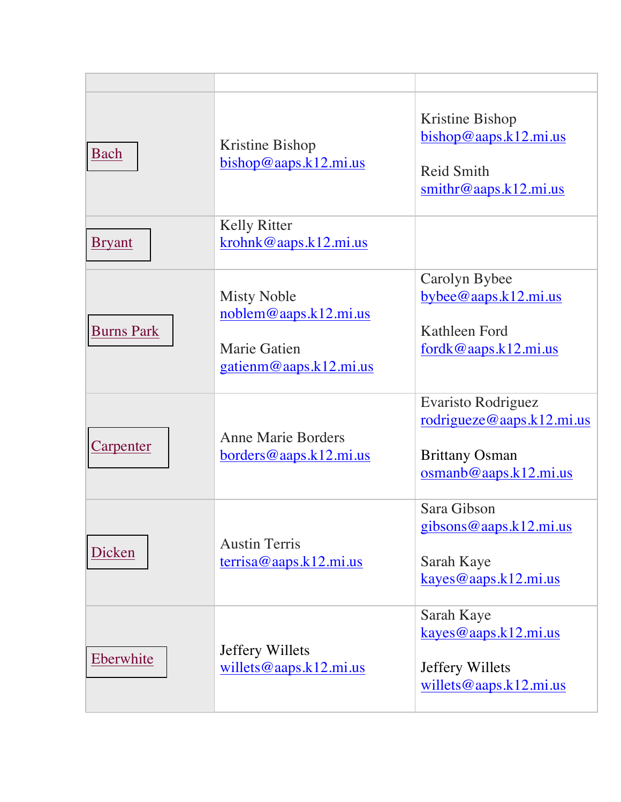| Bach              | Kristine Bishop<br>bishop@aaps.k12.mi.us                                                     | Kristine Bishop<br>bishop@aaps.k12.mi.us<br><b>Reid Smith</b><br>$\frac{\text{smithr@aaps.k12.mi.us}}{\text{smithr@aaps.k12.mi.us}}$ |
|-------------------|----------------------------------------------------------------------------------------------|--------------------------------------------------------------------------------------------------------------------------------------|
| <b>Bryant</b>     | <b>Kelly Ritter</b><br>krohnk@aaps.k12.mi.us                                                 |                                                                                                                                      |
| <b>Burns Park</b> | <b>Misty Noble</b><br>noblem@aaps.k12.mi.us<br><b>Marie Gatien</b><br>gatienm@aaps.k12.mi.us | Carolyn Bybee<br>$bybee@aaps.k12.mi.us$<br>Kathleen Ford<br>$fordk@aaps.k12.mi.us$                                                   |
| <b>Carpenter</b>  | <b>Anne Marie Borders</b><br>borders@aaps.k12.mi.us                                          | <b>Evaristo Rodriguez</b><br>rodrigueze@aaps.k12.mi.us<br><b>Brittany Osman</b><br>osmanb@aaps.k12.mi.us                             |
| Dicken            | <b>Austin Terris</b><br>$\frac{\text{terrisa@aaps.k12.mi.us}}{$                              | Sara Gibson<br><u>gibsons@aaps.k12.mi.us</u><br>Sarah Kaye<br>kayes@aaps.k12.mi.us                                                   |
| Eberwhite         | Jeffery Willets<br>willets@aaps.k12.mi.us                                                    | Sarah Kaye<br>kayes@aaps.k12.mi.us<br>Jeffery Willets<br>willets@aaps.k12.mi.us                                                      |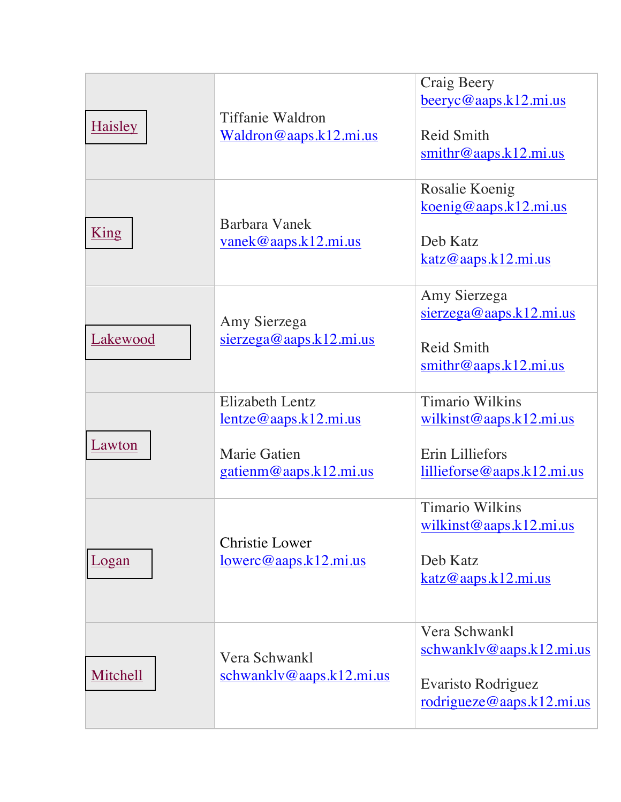| <b>Haisley</b> | <b>Tiffanie Waldron</b><br>Waldron@aaps.k12.mi.us                                                   | Craig Beery<br>beeryc@aaps.k12.mi.us<br><b>Reid Smith</b><br>$\frac{\text{smithr@aaps.k12.mi.us}}{$       |
|----------------|-----------------------------------------------------------------------------------------------------|-----------------------------------------------------------------------------------------------------------|
| King           | Barbara Vanek<br>vanek@aaps.k12.mi.us                                                               | Rosalie Koenig<br>koenig@aaps.k12.mi.us<br>Deb Katz<br>katz@aaps.k12.mi.us                                |
| Lakewood       | Amy Sierzega<br>$s$ ierzega@aaps.k12.mi.us                                                          | Amy Sierzega<br>$s$ ierzega@aaps.k12.mi.us<br><b>Reid Smith</b><br>$\frac{\text{smithr@aaps.k12.mi.us}}{$ |
| Lawton         | <b>Elizabeth Lentz</b><br>$l$ entze@aaps.k12.mi.us<br><b>Marie Gatien</b><br>gatienm@aaps.k12.mi.us | <b>Timario Wilkins</b><br>wilkinst@aaps.k12.mi.us<br>Erin Lilliefors<br>$l$ illieforse@aaps.k12.mi.us     |
| Logan          | <b>Christie Lower</b><br>lowerc@aaps.k12.mi.us                                                      | <b>Timario Wilkins</b><br>wilkinst@aaps.k12.mi.us<br>Deb Katz<br>katz@aaps.k12.mi.us                      |
| Mitchell       | Vera Schwankl<br>schwanklv@aaps.k12.mi.us                                                           | Vera Schwankl<br>schwanklv@aaps.k12.mi.us<br>Evaristo Rodriguez<br>rodriqueze@aaps.k12.mi.us              |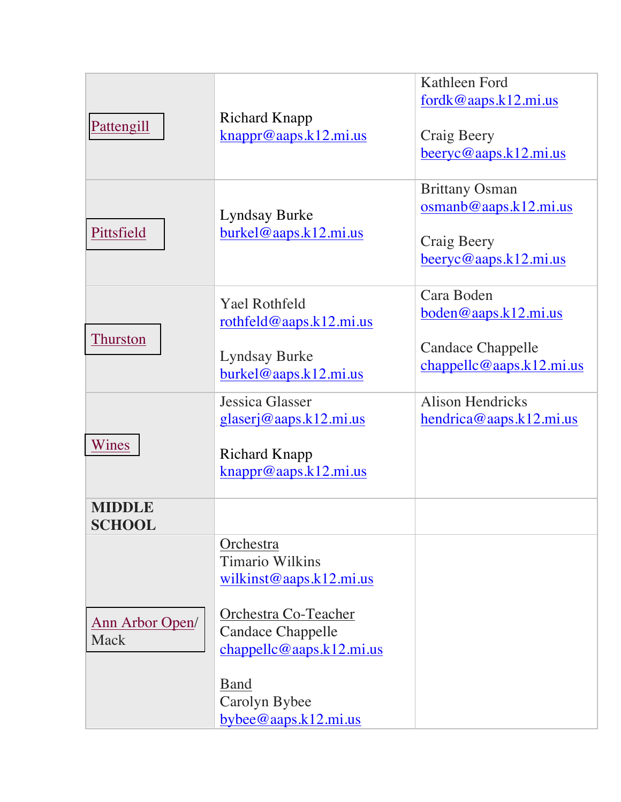| Pattengill              |                                                   | Kathleen Ford                          |
|-------------------------|---------------------------------------------------|----------------------------------------|
|                         |                                                   | fordk@aaps.k12.mi.us                   |
|                         | <b>Richard Knapp</b>                              |                                        |
|                         | knappr@aaps.k12.mi.us                             | Craig Beery                            |
|                         |                                                   | $\frac{\text{beeryc@aaps.k12.mi.us}}{$ |
|                         |                                                   |                                        |
|                         |                                                   | <b>Brittany Osman</b>                  |
|                         |                                                   | osmanb@aaps.k12.mi.us                  |
|                         | <b>Lyndsay Burke</b>                              |                                        |
| Pittsfield              | burkel@aaps.k12.mi.us                             | Craig Beery                            |
|                         |                                                   | $\frac{\text{beeryc@aaps.k12.mi.us}}{$ |
|                         |                                                   |                                        |
|                         |                                                   | Cara Boden                             |
|                         | <b>Yael Rothfeld</b>                              | boden@aaps.k12.mi.us                   |
|                         | rothfeld@aaps.k12.mi.us                           |                                        |
| <b>Thurston</b>         |                                                   | <b>Candace Chappelle</b>               |
|                         | <b>Lyndsay Burke</b>                              | chappelle@aaps.k12.mi.us               |
|                         | burkel@aaps.k12.mi.us                             |                                        |
|                         | Jessica Glasser                                   | <b>Alison Hendricks</b>                |
|                         | <u>glaserj@aaps.k12.mi.us</u>                     | hendrica@aaps.k12.mi.us                |
|                         |                                                   |                                        |
| Wines                   | <b>Richard Knapp</b>                              |                                        |
|                         | $\frac{\text{knappr@aaps.k12.mi.us}{\text{kash}}$ |                                        |
|                         |                                                   |                                        |
| MIDDLE                  |                                                   |                                        |
| <b>SCHOOL</b>           |                                                   |                                        |
|                         | Orchestra                                         |                                        |
| Ann Arbor Open/<br>Mack | <b>Timario Wilkins</b>                            |                                        |
|                         | wilkinst@aaps.k12.mi.us                           |                                        |
|                         |                                                   |                                        |
|                         | Orchestra Co-Teacher                              |                                        |
|                         | <b>Candace Chappelle</b>                          |                                        |
|                         | chappelle@aaps.k12.mi.us                          |                                        |
|                         |                                                   |                                        |
|                         | <b>Band</b>                                       |                                        |
|                         | Carolyn Bybee                                     |                                        |
|                         | bybee@aaps.k12.mi.us                              |                                        |
|                         |                                                   |                                        |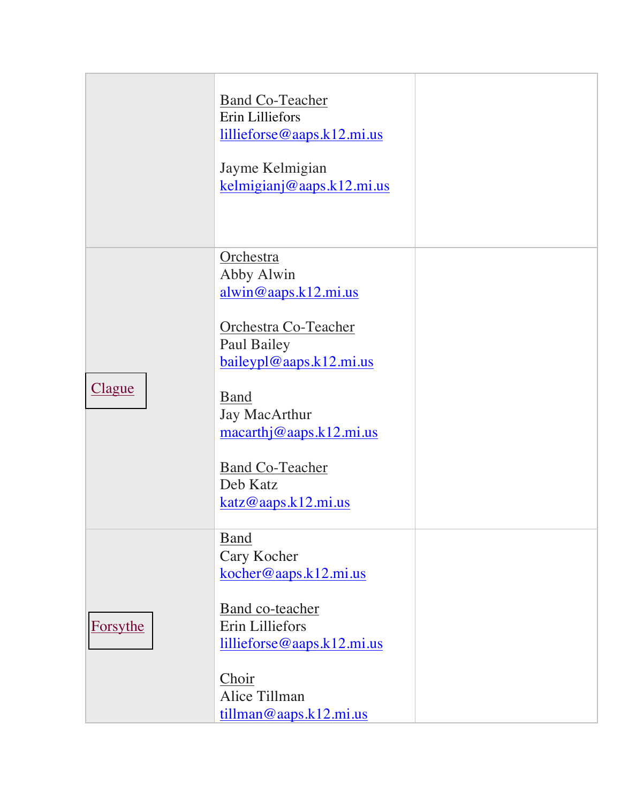|               | <b>Band Co-Teacher</b><br>Erin Lilliefors<br>$l$ illieforse@aaps.k12.mi.us<br>Jayme Kelmigian<br>kelmigianj@aaps.k12.mi.us |  |
|---------------|----------------------------------------------------------------------------------------------------------------------------|--|
|               | Orchestra<br>Abby Alwin<br>alwin@aaps.k12.mi.us                                                                            |  |
|               | Orchestra Co-Teacher<br>Paul Bailey<br>baileypl@aaps.k12.mi.us                                                             |  |
| <u>Clague</u> | <b>B</b> and<br>Jay MacArthur<br>macarthj@aaps.k12.mi.us                                                                   |  |
|               | <b>Band Co-Teacher</b><br>Deb Katz<br>katz@aaps.k12.mi.us                                                                  |  |
|               | <b>Band</b><br>Cary Kocher                                                                                                 |  |
| Forsythe      | kocher@aaps.k12.mi.us<br>Band co-teacher<br>Erin Lilliefors<br>lillieforse@aaps.k12.mi.us                                  |  |
|               | Choir<br>Alice Tillman<br>tillman@aaps.k12.mi.us                                                                           |  |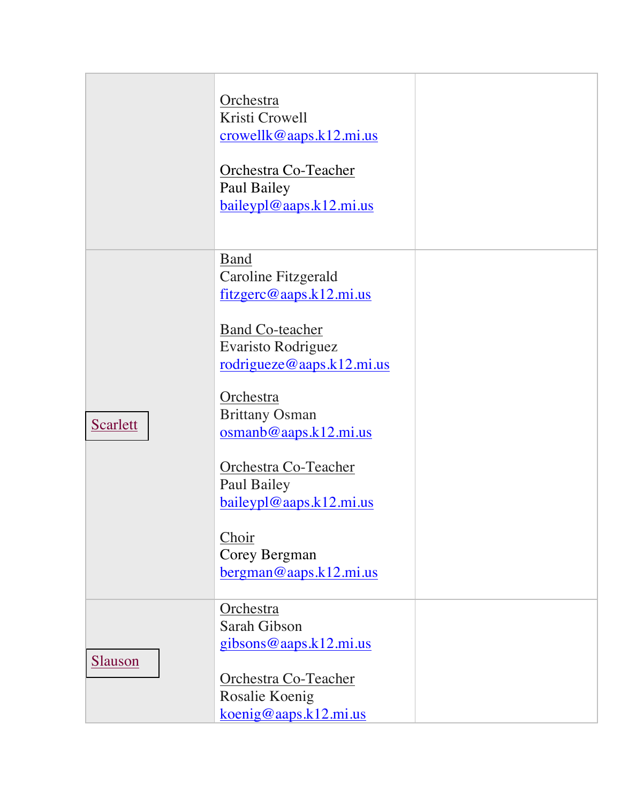|                 | Orchestra<br>Kristi Crowell<br>crowellk@aaps.k12.mi.us<br>Orchestra Co-Teacher<br>Paul Bailey<br>baileypl@aaps.k12.mi.us |  |
|-----------------|--------------------------------------------------------------------------------------------------------------------------|--|
|                 | <b>Band</b><br>Caroline Fitzgerald<br>fitzgerc@aaps.k12.mi.us                                                            |  |
|                 | <b>Band Co-teacher</b><br>Evaristo Rodriguez<br>rodrigueze@aaps.k12.mi.us                                                |  |
| <b>Scarlett</b> | Orchestra<br><b>Brittany Osman</b><br>osmanb@aaps.k12.mi.us                                                              |  |
|                 | Orchestra Co-Teacher<br>Paul Bailey<br>baileypl@aaps.k12.mi.us                                                           |  |
|                 | Choir<br>Corey Bergman                                                                                                   |  |
|                 | Orchestra<br>Sarah Gibson<br>gibsons@aaps.k12.mi.us                                                                      |  |
| <b>Slauson</b>  | Orchestra Co-Teacher<br>Rosalie Koenig<br>koenig@aaps.k12.mi.us                                                          |  |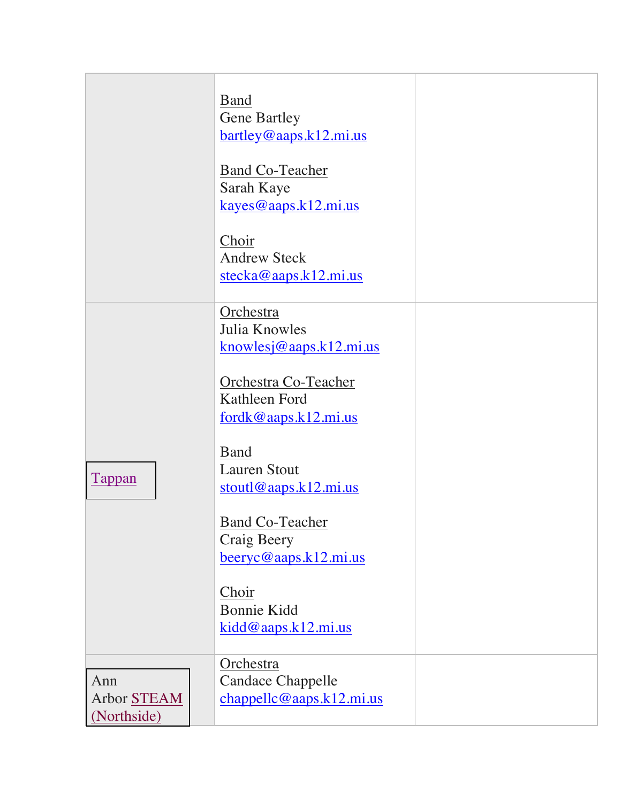|                                   | <b>Band</b><br><b>Gene Bartley</b><br>bartley@aaps.k12.mi.us<br><b>Band Co-Teacher</b><br>Sarah Kaye<br>kayes@aaps.k12.mi.us<br>Choir<br><b>Andrew Steck</b><br>stecka@aaps.k12.mi.us          |  |
|-----------------------------------|------------------------------------------------------------------------------------------------------------------------------------------------------------------------------------------------|--|
| <b>Tappan</b>                     | Orchestra<br>Julia Knowles<br>$k$ nowlesj@aaps. $k$ 12.mi.us<br>Orchestra Co-Teacher<br>Kathleen Ford<br>fordk@aaps.k12.mi.us<br><b>Band</b><br><b>Lauren Stout</b><br>$stout1@aaps.k12.mi.us$ |  |
|                                   | <b>Band Co-Teacher</b><br>Craig Beery<br>$\frac{\text{beeryc@aaps.k12.mi.us}}{$<br>Choir<br><b>Bonnie Kidd</b><br>kidd@aaps.k12.mi.us                                                          |  |
| Ann<br>Arbor STEAM<br>(Northside) | Orchestra<br><b>Candace Chappelle</b><br>chappelle@aaps.k12.mi.us                                                                                                                              |  |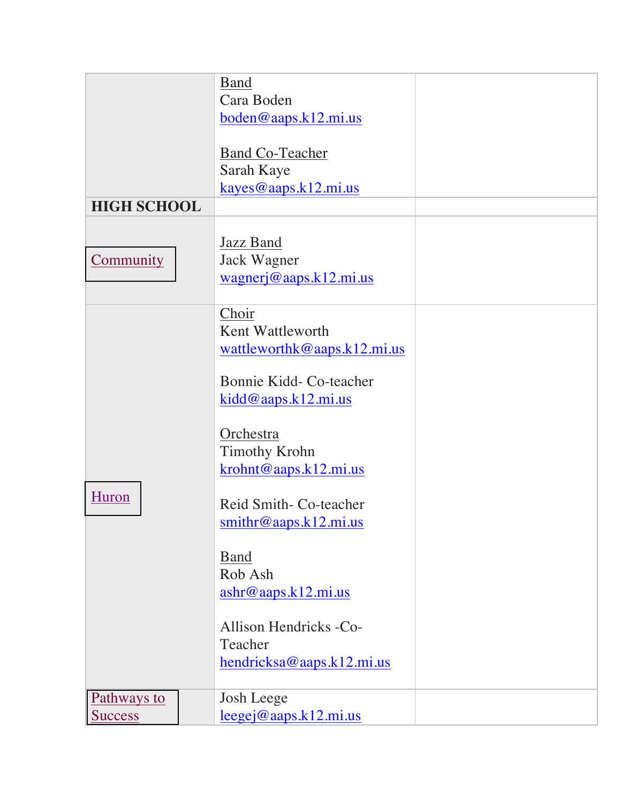|                    | <b>Band</b>                       |  |
|--------------------|-----------------------------------|--|
|                    | Cara Boden                        |  |
|                    | $boden@aaps.k12.mi.us$            |  |
|                    |                                   |  |
|                    | <b>Band Co-Teacher</b>            |  |
|                    | Sarah Kaye                        |  |
|                    | kayes@aaps.k12.mi.us              |  |
| <b>HIGH SCHOOL</b> |                                   |  |
|                    |                                   |  |
|                    | Jazz Band                         |  |
| <b>Community</b>   | Jack Wagner                       |  |
|                    | wagnerj@aaps.k12.mi.us            |  |
|                    |                                   |  |
|                    | Choir                             |  |
|                    | Kent Wattleworth                  |  |
|                    | wattleworthk@aaps.k12.mi.us       |  |
|                    | Bonnie Kidd- Co-teacher           |  |
|                    |                                   |  |
|                    | kidd@aaps.k12.mi.us               |  |
|                    | Orchestra                         |  |
|                    | <b>Timothy Krohn</b>              |  |
|                    | krohnt@aaps.k12.mi.us             |  |
|                    |                                   |  |
| Huron              | Reid Smith- Co-teacher            |  |
|                    | $s$ mithr@aaps.k12.mi.us          |  |
|                    |                                   |  |
|                    | <b>Band</b>                       |  |
|                    | Rob Ash                           |  |
|                    | $\underline{ashr@aaps.k12.mi.us}$ |  |
|                    |                                   |  |
|                    | Allison Hendricks -Co-            |  |
|                    | Teacher                           |  |
|                    | hendricksa@aaps.k12.mi.us         |  |
|                    |                                   |  |
| Pathways to        | <b>Josh Leege</b>                 |  |
| <b>Success</b>     | $leegej@aaps.k12.mi.us$           |  |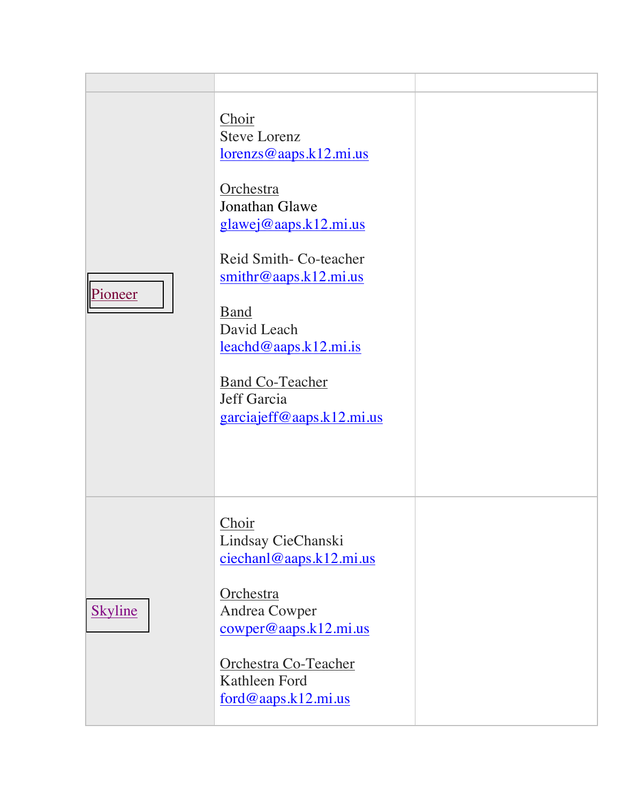| Pioneer        | Choir<br><b>Steve Lorenz</b><br>$lorenzs@aaps.k12.mi.us$<br>Orchestra<br>Jonathan Glawe<br>glawej@aaps.k12.mi.us<br>Reid Smith-Co-teacher<br>$\frac{\text{smithr@aaps.k12.mi.us}}{\text{smithr@aaps.k12.mi.us}}$<br><b>Band</b><br>David Leach<br>$leachd@aaps.k12.mi.is$<br><b>Band Co-Teacher</b><br>Jeff Garcia<br>garciajeff@aaps.k12.mi.us |  |
|----------------|-------------------------------------------------------------------------------------------------------------------------------------------------------------------------------------------------------------------------------------------------------------------------------------------------------------------------------------------------|--|
| <b>Skyline</b> | Choir<br>Lindsay CieChanski<br>ciechan@aaps.k12.mi.us<br>Orchestra<br>Andrea Cowper<br>$\frac{\text{cowper@aaps.k12.mi.us}}{$<br>Orchestra Co-Teacher<br>Kathleen Ford<br>$ford@aaps.k12.mi.us$                                                                                                                                                 |  |